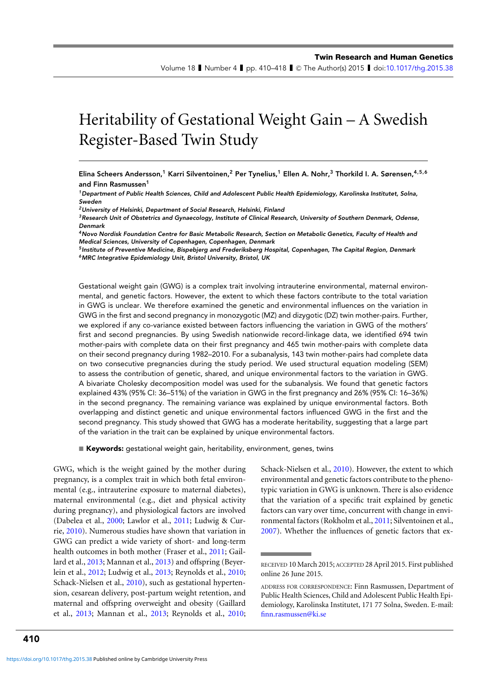Volume 18 I Number 4 I pp. 410–418 I © The Author(s) 2015 I doi[:10.1017/thg.2015.38](http://dx.doi.org/10.1017/thg.2015.38)

# Heritability of Gestational Weight Gain – A Swedish Register-Based Twin Study

Elina Scheers Andersson,<sup>1</sup> Karri Silventoinen,<sup>2</sup> Per Tynelius,<sup>1</sup> Ellen A. Nohr,<sup>3</sup> Thorkild I. A. Sørensen,<sup>4,5,6</sup> and Finn Rasmussen<sup>1</sup>

<sup>1</sup> Department of Public Health Sciences, Child and Adolescent Public Health Epidemiology, Karolinska Institutet, Solna, Sweden

<sup>2</sup>University of Helsinki, Department of Social Research, Helsinki, Finland

<sup>3</sup>Research Unit of Obstetrics and Gynaecology, Institute of Clinical Research, University of Southern Denmark, Odense, Denmark

<sup>4</sup>Novo Nordisk Foundation Centre for Basic Metabolic Research, Section on Metabolic Genetics, Faculty of Health and Medical Sciences, University of Copenhagen, Copenhagen, Denmark

<sup>5</sup> Institute of Preventive Medicine, Bispebjerg and Frederiksberg Hospital, Copenhagen, The Capital Region, Denmark <sup>6</sup>MRC Integrative Epidemiology Unit, Bristol University, Bristol, UK

Gestational weight gain (GWG) is a complex trait involving intrauterine environmental, maternal environmental, and genetic factors. However, the extent to which these factors contribute to the total variation in GWG is unclear. We therefore examined the genetic and environmental influences on the variation in GWG in the first and second pregnancy in monozygotic (MZ) and dizygotic (DZ) twin mother-pairs. Further, we explored if any co-variance existed between factors influencing the variation in GWG of the mothers' first and second pregnancies. By using Swedish nationwide record-linkage data, we identified 694 twin mother-pairs with complete data on their first pregnancy and 465 twin mother-pairs with complete data on their second pregnancy during 1982–2010. For a subanalysis, 143 twin mother-pairs had complete data on two consecutive pregnancies during the study period. We used structural equation modeling (SEM) to assess the contribution of genetic, shared, and unique environmental factors to the variation in GWG. A bivariate Cholesky decomposition model was used for the subanalysis. We found that genetic factors explained 43% (95% CI: 36–51%) of the variation in GWG in the first pregnancy and 26% (95% CI: 16–36%) in the second pregnancy. The remaining variance was explained by unique environmental factors. Both overlapping and distinct genetic and unique environmental factors influenced GWG in the first and the second pregnancy. This study showed that GWG has a moderate heritability, suggesting that a large part of the variation in the trait can be explained by unique environmental factors.

■ **Keywords:** gestational weight gain, heritability, environment, genes, twins

GWG, which is the weight gained by the mother during pregnancy, is a complex trait in which both fetal environmental (e.g., intrauterine exposure to maternal diabetes), maternal environmental (e.g., diet and physical activity during pregnancy), and physiological factors are involved (Dabelea et al., [2000;](#page-7-0) Lawlor et al., [2011;](#page-8-0) Ludwig & Currie, [2010\)](#page-8-0). Numerous studies have shown that variation in GWG can predict a wide variety of short- and long-term health outcomes in both mother (Fraser et al., [2011;](#page-7-0) Gaillard et al., [2013;](#page-7-0) Mannan et al., [2013\)](#page-8-0) and offspring (Beyerlein et al., [2012;](#page-7-0) Ludwig et al., [2013;](#page-8-0) Reynolds et al., [2010;](#page-8-0) Schack-Nielsen et al., [2010\)](#page-8-0), such as gestational hypertension, cesarean delivery, post-partum weight retention, and maternal and offspring overweight and obesity (Gaillard et al., [2013;](#page-7-0) Mannan et al., [2013;](#page-8-0) Reynolds et al., [2010;](#page-8-0) Schack-Nielsen et al., [2010\)](#page-8-0). However, the extent to which environmental and genetic factors contribute to the phenotypic variation in GWG is unknown. There is also evidence that the variation of a specific trait explained by genetic factors can vary over time, concurrent with change in environmental factors (Rokholm et al., [2011;](#page-8-0) Silventoinen et al., [2007\)](#page-8-0). Whether the influences of genetic factors that ex-

RECEIVED 10 March 2015; ACCEPTED 28 April 2015. First published online 26 June 2015.

ADDRESS FOR CORRESPONDENCE: Finn Rasmussen, Department of Public Health Sciences, Child and Adolescent Public Health Epidemiology, Karolinska Institutet, 171 77 Solna, Sweden. E-mail: [finn.rasmussen@ki.se](mailto:finn.rasmussen@ki.se)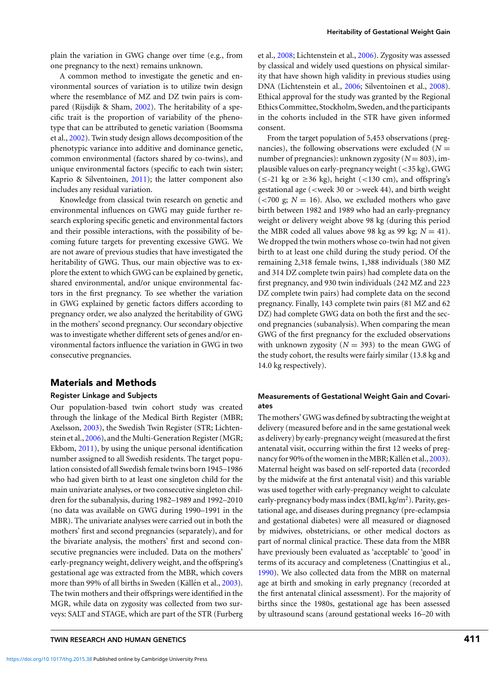plain the variation in GWG change over time (e.g., from one pregnancy to the next) remains unknown.

A common method to investigate the genetic and environmental sources of variation is to utilize twin design where the resemblance of MZ and DZ twin pairs is compared (Rijsdijk & Sham, [2002\)](#page-8-0). The heritability of a specific trait is the proportion of variability of the phenotype that can be attributed to genetic variation (Boomsma et al., [2002\)](#page-7-0). Twin study design allows decomposition of the phenotypic variance into additive and dominance genetic, common environmental (factors shared by co-twins), and unique environmental factors (specific to each twin sister; Kaprio & Silventoinen, [2011\)](#page-8-0); the latter component also includes any residual variation.

Knowledge from classical twin research on genetic and environmental influences on GWG may guide further research exploring specific genetic and environmental factors and their possible interactions, with the possibility of becoming future targets for preventing excessive GWG. We are not aware of previous studies that have investigated the heritability of GWG. Thus, our main objective was to explore the extent to which GWG can be explained by genetic, shared environmental, and/or unique environmental factors in the first pregnancy. To see whether the variation in GWG explained by genetic factors differs according to pregnancy order, we also analyzed the heritability of GWG in the mothers' second pregnancy. Our secondary objective was to investigate whether different sets of genes and/or environmental factors influence the variation in GWG in two consecutive pregnancies.

# Materials and Methods

# Register Linkage and Subjects

Our population-based twin cohort study was created through the linkage of the Medical Birth Register (MBR; Axelsson, [2003\)](#page-7-0), the Swedish Twin Register (STR; Lichtenstein et al., [2006\)](#page-8-0), and the Multi-Generation Register (MGR; Ekbom, [2011\)](#page-7-0), by using the unique personal identification number assigned to all Swedish residents. The target population consisted of all Swedish female twins born 1945–1986 who had given birth to at least one singleton child for the main univariate analyses, or two consecutive singleton children for the subanalysis, during 1982–1989 and 1992–2010 (no data was available on GWG during 1990–1991 in the MBR). The univariate analyses were carried out in both the mothers' first and second pregnancies (separately), and for the bivariate analysis, the mothers' first and second consecutive pregnancies were included. Data on the mothers' early-pregnancy weight, delivery weight, and the offspring's gestational age was extracted from the MBR, which covers more than 99% of all births in Sweden (Källén et al., [2003\)](#page-8-0). The twin mothers and their offsprings were identified in the MGR, while data on zygosity was collected from two surveys: SALT and STAGE, which are part of the STR (Furberg

et al., [2008;](#page-7-0) Lichtenstein et al., [2006\)](#page-8-0). Zygosity was assessed by classical and widely used questions on physical similarity that have shown high validity in previous studies using DNA (Lichtenstein et al., [2006;](#page-8-0) Silventoinen et al., [2008\)](#page-8-0). Ethical approval for the study was granted by the Regional Ethics Committee, Stockholm, Sweden, and the participants in the cohorts included in the STR have given informed consent.

From the target population of 5,453 observations (pregnancies), the following observations were excluded ( $N =$ number of pregnancies): unknown zygosity  $(N = 803)$ , implausible values on early-pregnancy weight (*<*35 kg), GWG  $(\leq -21 \text{ kg or } \geq 36 \text{ kg})$ , height  $(<130 \text{ cm})$ , and offspring's gestational age (*<*week 30 or *>*week 44), and birth weight  $(<$ 700 g;  $N = 16$ ). Also, we excluded mothers who gave birth between 1982 and 1989 who had an early-pregnancy weight or delivery weight above 98 kg (during this period the MBR coded all values above 98 kg as 99 kg;  $N = 41$ ). We dropped the twin mothers whose co-twin had not given birth to at least one child during the study period. Of the remaining 2,318 female twins, 1,388 individuals (380 MZ and 314 DZ complete twin pairs) had complete data on the first pregnancy, and 930 twin individuals (242 MZ and 223 DZ complete twin pairs) had complete data on the second pregnancy. Finally, 143 complete twin pairs (81 MZ and 62 DZ) had complete GWG data on both the first and the second pregnancies (subanalysis). When comparing the mean GWG of the first pregnancy for the excluded observations with unknown zygosity  $(N = 393)$  to the mean GWG of the study cohort, the results were fairly similar (13.8 kg and 14.0 kg respectively).

## Measurements of Gestational Weight Gain and Covariates

The mothers' GWG was defined by subtracting the weight at delivery (measured before and in the same gestational week as delivery) by early-pregnancy weight (measured at the first antenatal visit, occurring within the first 12 weeks of preg-nancy for 90% of the women in the MBR; Källén et al., [2003\)](#page-8-0). Maternal height was based on self-reported data (recorded by the midwife at the first antenatal visit) and this variable was used together with early-pregnancy weight to calculate early-pregnancy body mass index  $(BMI, kg/m<sup>2</sup>)$ . Parity, gestational age, and diseases during pregnancy (pre-eclampsia and gestational diabetes) were all measured or diagnosed by midwives, obstetricians, or other medical doctors as part of normal clinical practice. These data from the MBR have previously been evaluated as 'acceptable' to 'good' in terms of its accuracy and completeness (Cnattingius et al., [1990\)](#page-7-0). We also collected data from the MBR on maternal age at birth and smoking in early pregnancy (recorded at the first antenatal clinical assessment). For the majority of births since the 1980s, gestational age has been assessed by ultrasound scans (around gestational weeks 16–20 with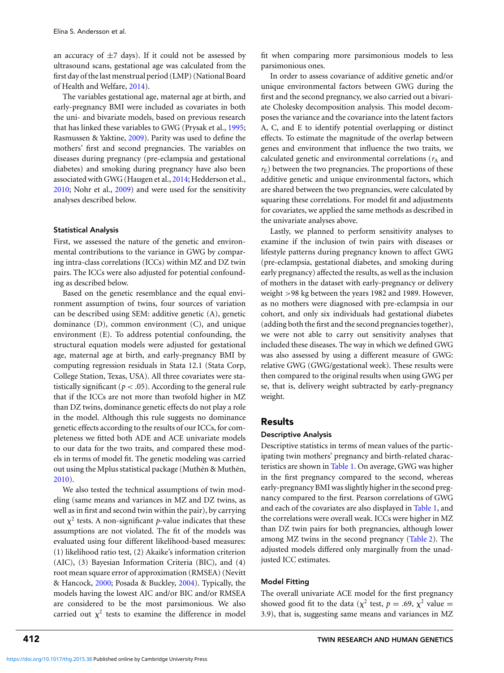an accuracy of  $\pm$ 7 days). If it could not be assessed by ultrasound scans, gestational age was calculated from the first day of the last menstrual period (LMP) (National Board of Health and Welfare, [2014\)](#page-8-0).

The variables gestational age, maternal age at birth, and early-pregnancy BMI were included as covariates in both the uni- and bivariate models, based on previous research that has linked these variables to GWG (Prysak et al., [1995;](#page-8-0) Rasmussen & Yaktine, [2009\)](#page-8-0). Parity was used to define the mothers' first and second pregnancies. The variables on diseases during pregnancy (pre-eclampsia and gestational diabetes) and smoking during pregnancy have also been associated with GWG (Haugen et al., [2014;](#page-7-0) Hedderson et al., [2010;](#page-7-0) Nohr et al., [2009\)](#page-8-0) and were used for the sensitivity analyses described below.

## Statistical Analysis

First, we assessed the nature of the genetic and environmental contributions to the variance in GWG by comparing intra-class correlations (ICCs) within MZ and DZ twin pairs. The ICCs were also adjusted for potential confounding as described below.

Based on the genetic resemblance and the equal environment assumption of twins, four sources of variation can be described using SEM: additive genetic (A), genetic dominance (D), common environment (C), and unique environment (E). To address potential confounding, the structural equation models were adjusted for gestational age, maternal age at birth, and early-pregnancy BMI by computing regression residuals in Stata 12.1 (Stata Corp, College Station, Texas, USA). All three covariates were statistically significant ( $p < .05$ ). According to the general rule that if the ICCs are not more than twofold higher in MZ than DZ twins, dominance genetic effects do not play a role in the model. Although this rule suggests no dominance genetic effects according to the results of our ICCs, for completeness we fitted both ADE and ACE univariate models to our data for the two traits, and compared these models in terms of model fit. The genetic modeling was carried out using the Mplus statistical package (Muthén & Muthén, [2010\)](#page-8-0).

We also tested the technical assumptions of twin modeling (same means and variances in MZ and DZ twins, as well as in first and second twin within the pair), by carrying out  $\chi^2$  tests. A non-significant *p*-value indicates that these assumptions are not violated. The fit of the models was evaluated using four different likelihood-based measures: (1) likelihood ratio test, (2) Akaike's information criterion (AIC), (3) Bayesian Information Criteria (BIC), and (4) root mean square error of approximation (RMSEA) (Nevitt & Hancock, [2000;](#page-8-0) Posada & Buckley, [2004\)](#page-8-0). Typically, the models having the lowest AIC and/or BIC and/or RMSEA are considered to be the most parsimonious. We also carried out  $\chi^2$  tests to examine the difference in model

fit when comparing more parsimonious models to less parsimonious ones.

In order to assess covariance of additive genetic and/or unique environmental factors between GWG during the first and the second pregnancy, we also carried out a bivariate Cholesky decomposition analysis. This model decomposes the variance and the covariance into the latent factors A, C, and E to identify potential overlapping or distinct effects. To estimate the magnitude of the overlap between genes and environment that influence the two traits, we calculated genetic and environmental correlations  $(r_A \text{ and }$  $r_{\rm E}$ ) between the two pregnancies. The proportions of these additive genetic and unique environmental factors, which are shared between the two pregnancies, were calculated by squaring these correlations. For model fit and adjustments for covariates, we applied the same methods as described in the univariate analyses above.

Lastly, we planned to perform sensitivity analyses to examine if the inclusion of twin pairs with diseases or lifestyle patterns during pregnancy known to affect GWG (pre-eclampsia, gestational diabetes, and smoking during early pregnancy) affected the results, as well as the inclusion of mothers in the dataset with early-pregnancy or delivery weight *>*98 kg between the years 1982 and 1989. However, as no mothers were diagnosed with pre-eclampsia in our cohort, and only six individuals had gestational diabetes (adding both the first and the second pregnancies together), we were not able to carry out sensitivity analyses that included these diseases. The way in which we defined GWG was also assessed by using a different measure of GWG: relative GWG (GWG/gestational week). These results were then compared to the original results when using GWG per se, that is, delivery weight subtracted by early-pregnancy weight.

## Results

## Descriptive Analysis

Descriptive statistics in terms of mean values of the participating twin mothers' pregnancy and birth-related characteristics are shown in [Table 1.](#page-3-0) On average, GWG was higher in the first pregnancy compared to the second, whereas early-pregnancy BMI was slightly higher in the second pregnancy compared to the first. Pearson correlations of GWG and each of the covariates are also displayed in [Table 1,](#page-3-0) and the correlations were overall weak. ICCs were higher in MZ than DZ twin pairs for both pregnancies, although lower among MZ twins in the second pregnancy [\(Table 2\)](#page-3-0). The adjusted models differed only marginally from the unadjusted ICC estimates.

## Model Fitting

The overall univariate ACE model for the first pregnancy showed good fit to the data ( $\chi^2$  test,  $p = .69$ ,  $\chi^2$  value = 3.9), that is, suggesting same means and variances in MZ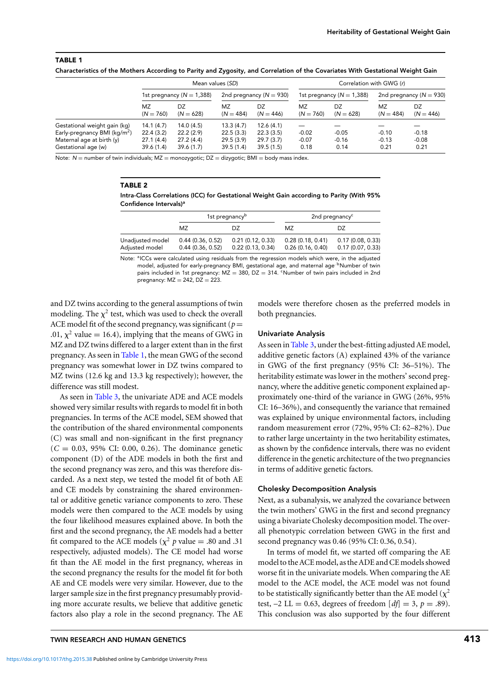<span id="page-3-0"></span>

| <b>TABLE 1</b>                                                                                                                  |
|---------------------------------------------------------------------------------------------------------------------------------|
| Characteristics of the Mothers According to Parity and Zygosity, and Correlation of the Covariates With Gestational Weight Gain |

|                                                                                                                              | Mean values (SD)                                  |                                                  |                                                  |                                                  | Correlation with GWG (r)      |                            |                             |                            |
|------------------------------------------------------------------------------------------------------------------------------|---------------------------------------------------|--------------------------------------------------|--------------------------------------------------|--------------------------------------------------|-------------------------------|----------------------------|-----------------------------|----------------------------|
|                                                                                                                              | 1st pregnancy ( $N = 1,388$ )                     |                                                  | 2nd pregnancy ( $N = 930$ )                      |                                                  | 1st pregnancy ( $N = 1,388$ ) |                            | 2nd pregnancy ( $N = 930$ ) |                            |
|                                                                                                                              | <b>MZ</b><br>$(N = 760)$                          | DZ<br>$(N = 628)$                                | <b>MZ</b><br>$(N = 484)$                         | DZ<br>$(N = 446)$                                | MZ<br>$(N = 760)$             | DZ<br>$(N = 628)$          | <b>MZ</b><br>$(N = 484)$    | DZ<br>$(N = 446)$          |
| Gestational weight gain (kg)<br>Early-pregnancy BMI (kg/m <sup>2</sup> )<br>Maternal age at birth (y)<br>Gestational age (w) | 14.1(4.7)<br>22.4(3.2)<br>27.1(4.4)<br>39.6 (1.4) | 14.0(4.5)<br>22.2(2.9)<br>27.2(4.4)<br>39.6(1.7) | 13.3(4.7)<br>22.5(3.3)<br>29.5(3.9)<br>39.5(1.4) | 12.6(4.1)<br>22.3(3.5)<br>29.7(3.7)<br>39.5(1.5) | $-0.02$<br>$-0.07$<br>0.18    | $-0.05$<br>$-0.16$<br>0.14 | $-0.10$<br>$-0.13$<br>0.21  | $-0.18$<br>$-0.08$<br>0.21 |

Note:  $N =$  number of twin individuals;  $MZ =$  monozygotic;  $DZ =$  dizygotic; BMI = body mass index.

## TABLE 2

Intra-Class Correlations (ICC) for Gestational Weight Gain according to Parity (With 95% Confidence Intervals)<sup>a</sup>

|                                    |                                      | 1st pregnancy <sup>b</sup>           | 2nd pregnancy <sup>c</sup>           |                                      |  |  |
|------------------------------------|--------------------------------------|--------------------------------------|--------------------------------------|--------------------------------------|--|--|
|                                    | MZ                                   | DZ                                   | MZ                                   | DZ                                   |  |  |
| Unadjusted model<br>Adjusted model | 0.44(0.36, 0.52)<br>0.44(0.36, 0.52) | 0.21(0.12, 0.33)<br>0.22(0.13, 0.34) | 0.28(0.18, 0.41)<br>0.26(0.16, 0.40) | 0.17(0.08, 0.33)<br>0.17(0.07, 0.33) |  |  |

Note: <sup>a</sup>ICCs were calculated using residuals from the regression models which were, in the adjusted model, adjusted for early-pregnancy BMI, gestational age, and maternal age bNumber of twin pairs included in 1st pregnancy:  $MZ = 380$ ,  $DZ = 314$ . <sup>c</sup>Number of twin pairs included in 2nd pregnancy:  $MZ = 242$ ,  $DZ = 223$ .

and DZ twins according to the general assumptions of twin modeling. The  $\chi^2$  test, which was used to check the overall ACE model fit of the second pregnancy, was significant ( $p =$ .01,  $\chi^2$  value = 16.4), implying that the means of GWG in MZ and DZ twins differed to a larger extent than in the first pregnancy. As seen in Table 1, the mean GWG of the second pregnancy was somewhat lower in DZ twins compared to MZ twins (12.6 kg and 13.3 kg respectively); however, the difference was still modest.

As seen in [Table 3,](#page-4-0) the univariate ADE and ACE models showed very similar results with regards to model fit in both pregnancies. In terms of the ACE model, SEM showed that the contribution of the shared environmental components (C) was small and non-significant in the first pregnancy  $(C = 0.03, 95\% \text{ CI: } 0.00, 0.26)$ . The dominance genetic component (D) of the ADE models in both the first and the second pregnancy was zero, and this was therefore discarded. As a next step, we tested the model fit of both AE and CE models by constraining the shared environmental or additive genetic variance components to zero. These models were then compared to the ACE models by using the four likelihood measures explained above. In both the first and the second pregnancy, the AE models had a better fit compared to the ACE models ( $\chi^2$  *p* value = .80 and .31 respectively, adjusted models). The CE model had worse fit than the AE model in the first pregnancy, whereas in the second pregnancy the results for the model fit for both AE and CE models were very similar. However, due to the larger sample size in the first pregnancy presumably providing more accurate results, we believe that additive genetic factors also play a role in the second pregnancy. The AE models were therefore chosen as the preferred models in both pregnancies.

#### Univariate Analysis

As seen in [Table 3,](#page-4-0) under the best-fitting adjusted AE model, additive genetic factors (A) explained 43% of the variance in GWG of the first pregnancy (95% CI: 36–51%). The heritability estimate was lower in the mothers' second pregnancy, where the additive genetic component explained approximately one-third of the variance in GWG (26%, 95% CI: 16–36%), and consequently the variance that remained was explained by unique environmental factors, including random measurement error (72%, 95% CI: 62–82%). Due to rather large uncertainty in the two heritability estimates, as shown by the confidence intervals, there was no evident difference in the genetic architecture of the two pregnancies in terms of additive genetic factors.

#### Cholesky Decomposition Analysis

Next, as a subanalysis, we analyzed the covariance between the twin mothers' GWG in the first and second pregnancy using a bivariate Cholesky decomposition model. The overall phenotypic correlation between GWG in the first and second pregnancy was 0.46 (95% CI: 0.36, 0.54).

In terms of model fit, we started off comparing the AE model to the ACE model, as the ADE and CE models showed worse fit in the univariate models. When comparing the AE model to the ACE model, the ACE model was not found to be statistically significantly better than the AE model ( $\chi^2$ test,  $-2$  LL = 0.63, degrees of freedom  $\left[ df \right] = 3, p = .89$ . This conclusion was also supported by the four different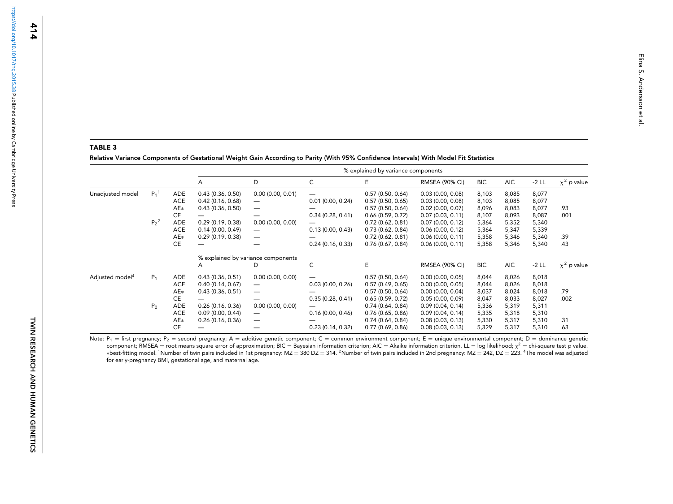#### <span id="page-4-0"></span>TABLE 3

|                             |                   |            | % explained by variance components |                                    |                  |                  |                       |            |            |        |                  |
|-----------------------------|-------------------|------------|------------------------------------|------------------------------------|------------------|------------------|-----------------------|------------|------------|--------|------------------|
|                             |                   |            | А                                  | D                                  | C                | Е                | <b>RMSEA (90% CI)</b> | <b>BIC</b> | <b>AIC</b> | $-2LL$ | $\chi^2$ p value |
| Unadjusted model            | $P_1^1$           | ADE        | 0.43(0.36, 0.50)                   | 0.00(0.00, 0.01)                   |                  | 0.57(0.50, 0.64) | 0.03(0.00, 0.08)      | 8,103      | 8,085      | 8,077  |                  |
|                             |                   | <b>ACE</b> | 0.42(0.16, 0.68)                   |                                    | 0.01(0.00, 0.24) | 0.57(0.50, 0.65) | 0.03(0.00, 0.08)      | 8,103      | 8,085      | 8,077  |                  |
|                             |                   | AE*        | 0.43(0.36, 0.50)                   | $\qquad \qquad \longleftarrow$     |                  | 0.57(0.50, 0.64) | 0.02(0.00, 0.07)      | 8,096      | 8,083      | 8,077  | .93              |
|                             |                   | <b>CE</b>  |                                    |                                    | 0.34(0.28, 0.41) | 0.66(0.59, 0.72) | 0.07(0.03, 0.11)      | 8,107      | 8,093      | 8,087  | .001             |
|                             | $P2$ <sup>2</sup> | <b>ADE</b> | 0.29(0.19, 0.38)                   | 0.00(0.00, 0.00)                   |                  | 0.72(0.62, 0.81) | 0.07(0.00, 0.12)      | 5,364      | 5,352      | 5,340  |                  |
|                             |                   | <b>ACE</b> | 0.14(0.00, 0.49)                   | —                                  | 0.13(0.00, 0.43) | 0.73(0.62, 0.84) | 0.06(0.00, 0.12)      | 5,364      | 5,347      | 5,339  |                  |
|                             |                   | AE*        | 0.29(0.19, 0.38)                   | $\overline{\phantom{m}}$           |                  | 0.72(0.62, 0.81) | 0.06(0.00, 0.11)      | 5,358      | 5,346      | 5,340  | .39              |
|                             |                   | <b>CE</b>  |                                    |                                    | 0.24(0.16, 0.33) | 0.76(0.67, 0.84) | 0.06(0.00, 0.11)      | 5,358      | 5,346      | 5,340  | .43              |
|                             |                   |            |                                    | % explained by variance components |                  |                  |                       |            |            |        |                  |
|                             |                   |            | A                                  | D                                  | С                | E                | <b>RMSEA (90% CI)</b> | <b>BIC</b> | <b>AIC</b> | $-2LL$ | $x^2$ p value    |
| Adjusted model <sup>4</sup> | $P_1$             | <b>ADE</b> | 0.43(0.36, 0.51)                   | 0.00(0.00, 0.00)                   |                  | 0.57(0.50, 0.64) | 0.00(0.00, 0.05)      | 8,044      | 8,026      | 8,018  |                  |
|                             |                   | <b>ACE</b> | 0.40(0.14, 0.67)                   | $\hspace{0.1mm}-\hspace{0.1mm}$    | 0.03(0.00, 0.26) | 0.57(0.49, 0.65) | 0.00(0.00, 0.05)      | 8,044      | 8,026      | 8,018  |                  |
|                             |                   | AE*        | 0.43(0.36, 0.51)                   | $\qquad \qquad -$                  |                  | 0.57(0.50, 0.64) | 0.00(0.00, 0.04)      | 8,037      | 8,024      | 8,018  | .79              |
|                             |                   | <b>CE</b>  |                                    |                                    | 0.35(0.28, 0.41) | 0.65(0.59, 0.72) | 0.05(0.00, 0.09)      | 8,047      | 8,033      | 8,027  | .002             |
|                             | P <sub>2</sub>    | ADE        | 0.26(0.16, 0.36)                   | 0.00(0.00, 0.00)                   |                  | 0.74(0.64, 0.84) | 0.09(0.04, 0.14)      | 5,336      | 5,319      | 5,311  |                  |
|                             |                   | <b>ACE</b> | 0.09(0.00, 0.44)                   | $\hspace{0.05cm}$                  | 0.16(0.00, 0.46) | 0.76(0.65, 0.86) | 0.09(0.04, 0.14)      | 5,335      | 5,318      | 5,310  |                  |
|                             |                   | AE*        | 0.26(0.16, 0.36)                   | —                                  |                  | 0.74(0.64, 0.84) | 0.08(0.03, 0.13)      | 5,330      | 5,317      | 5,310  | .31              |
|                             |                   | <b>CE</b>  |                                    |                                    | 0.23(0.14, 0.32) | 0.77(0.69, 0.86) | 0.08(0.03, 0.13)      | 5,329      | 5,317      | 5,310  | .63              |
|                             |                   |            |                                    |                                    |                  |                  |                       |            |            |        |                  |

Relative Variance Components of Gestational Weight Gain According to Parity (With 95% Confidence Intervals) With Model Fit Statistics

Note:  $P_1$  = first pregnancy;  $P_2$  = second pregnancy; A = additive genetic component; C = common environment component; E = unique environmental component; D = dominance genetic component; RMSEA = root means square error of approximation; BIC = Bayesian information criterion; AIC = Akaike information criterion. LL = log likelihood; χ² = chi-square test *p* value.<br>∗best-fitting model. <sup>1</sup>Number of for early-pregnancy BMI, gestational age, and maternal age.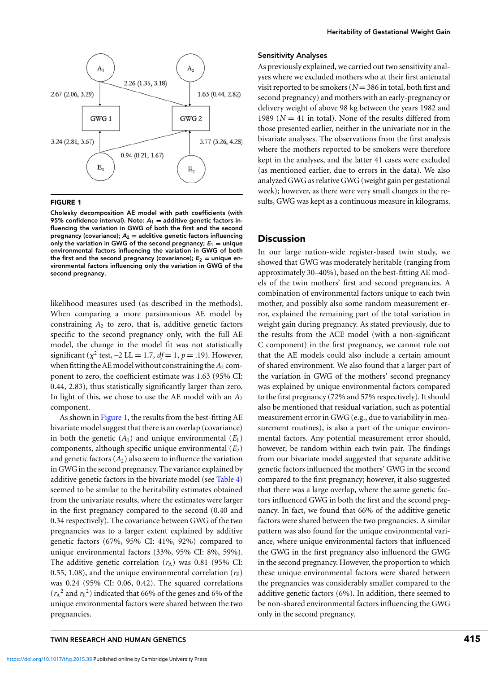

#### FIGURE 1

Cholesky decomposition AE model with path coefficients (with 95% confidence interval). Note:  $A_1$  = additive genetic factors influencing the variation in GWG of both the first and the second pregnancy (covariance);  $A_2$  = additive genetic factors influencing only the variation in GWG of the second pregnancy;  $E_1$  = unique environmental factors influencing the variation in GWG of both the first and the second pregnancy (covariance);  $E_2$  = unique environmental factors influencing only the variation in GWG of the second pregnancy.

likelihood measures used (as described in the methods). When comparing a more parsimonious AE model by constraining  $A_2$  to zero, that is, additive genetic factors specific to the second pregnancy only, with the full AE model, the change in the model fit was not statistically significant ( $\chi^2$  test, -2 LL = 1.7, *df* = 1, *p* = .19). However, when fitting the AE model without constraining the  $A_2$  component to zero, the coefficient estimate was 1.63 (95% CI: 0.44, 2.83), thus statistically significantly larger than zero. In light of this, we chose to use the AE model with an  $A_2$ component.

As shown in Figure 1, the results from the best-fitting AE bivariate model suggest that there is an overlap (covariance) in both the genetic  $(A_1)$  and unique environmental  $(E_1)$ components, although specific unique environmental (*E*2) and genetic factors  $(A_2)$  also seem to influence the variation in GWG in the second pregnancy. The variance explained by additive genetic factors in the bivariate model (see [Table 4\)](#page-6-0) seemed to be similar to the heritability estimates obtained from the univariate results, where the estimates were larger in the first pregnancy compared to the second (0.40 and 0.34 respectively). The covariance between GWG of the two pregnancies was to a larger extent explained by additive genetic factors (67%, 95% CI: 41%, 92%) compared to unique environmental factors (33%, 95% CI: 8%, 59%). The additive genetic correlation  $(r_A)$  was 0.81 (95% CI: 0.55, 1.08), and the unique environmental correlation  $(r<sub>E</sub>)$ was 0.24 (95% CI: 0.06, 0.42). The squared correlations  $(r_A^2$  and  $r_E^2)$  indicated that 66% of the genes and 6% of the unique environmental factors were shared between the two pregnancies.

## Sensitivity Analyses

As previously explained, we carried out two sensitivity analyses where we excluded mothers who at their first antenatal visit reported to be smokers (*N* = 386 in total, both first and second pregnancy) and mothers with an early-pregnancy or delivery weight of above 98 kg between the years 1982 and 1989 ( $N = 41$  in total). None of the results differed from those presented earlier, neither in the univariate nor in the bivariate analyses. The observations from the first analysis where the mothers reported to be smokers were therefore kept in the analyses, and the latter 41 cases were excluded (as mentioned earlier, due to errors in the data). We also analyzed GWG as relative GWG (weight gain per gestational week); however, as there were very small changes in the results, GWG was kept as a continuous measure in kilograms.

# **Discussion**

In our large nation-wide register-based twin study, we showed that GWG was moderately heritable (ranging from approximately 30–40%), based on the best-fitting AE models of the twin mothers' first and second pregnancies. A combination of environmental factors unique to each twin mother, and possibly also some random measurement error, explained the remaining part of the total variation in weight gain during pregnancy. As stated previously, due to the results from the ACE model (with a non-significant C component) in the first pregnancy, we cannot rule out that the AE models could also include a certain amount of shared environment. We also found that a larger part of the variation in GWG of the mothers' second pregnancy was explained by unique environmental factors compared to the first pregnancy (72% and 57% respectively). It should also be mentioned that residual variation, such as potential measurement error in GWG (e.g., due to variability in measurement routines), is also a part of the unique environmental factors. Any potential measurement error should, however, be random within each twin pair. The findings from our bivariate model suggested that separate additive genetic factors influenced the mothers' GWG in the second compared to the first pregnancy; however, it also suggested that there was a large overlap, where the same genetic factors influenced GWG in both the first and the second pregnancy. In fact, we found that 66% of the additive genetic factors were shared between the two pregnancies. A similar pattern was also found for the unique environmental variance, where unique environmental factors that influenced the GWG in the first pregnancy also influenced the GWG in the second pregnancy. However, the proportion to which these unique environmental factors were shared between the pregnancies was considerably smaller compared to the additive genetic factors (6%). In addition, there seemed to be non-shared environmental factors influencing the GWG only in the second pregnancy.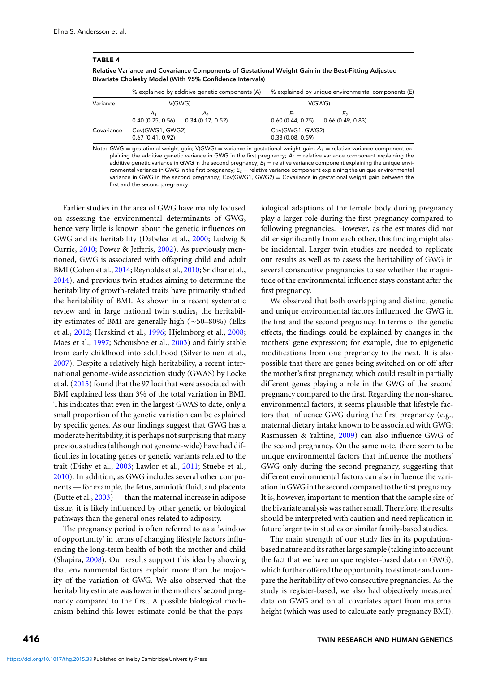#### <span id="page-6-0"></span>TABLE 4

Relative Variance and Covariance Components of Gestational Weight Gain in the Best-Fitting Adjusted Bivariate Cholesky Model (With 95% Confidence Intervals)

|            |                                     | % explained by additive genetic components (A) | % explained by unique environmental components (E) |                                                        |  |  |  |
|------------|-------------------------------------|------------------------------------------------|----------------------------------------------------|--------------------------------------------------------|--|--|--|
| Variance   |                                     | V(GWG)                                         | V(GWG)                                             |                                                        |  |  |  |
|            | A <sub>1</sub>                      | Aэ<br>$0.40(0.25, 0.56)$ $0.34(0.17, 0.52)$    | E1                                                 | E <sub>2</sub><br>$0.60(0.44, 0.75)$ 0.66 (0.49, 0.83) |  |  |  |
| Covariance | Cov(GWG1, GWG2)<br>0.67(0.41, 0.92) |                                                | Cov(GWG1, GWG2)<br>0.33(0.08, 0.59)                |                                                        |  |  |  |

Note: GWG = gestational weight gain; V(GWG) = variance in gestational weight gain;  $A_1$  = relative variance component explaining the additive genetic variance in GWG in the first pregnancy;  $A_2$  = relative variance component explaining the additive genetic variance in GWG in the second pregnancy;  $E_1$  = relative variance component explaining the unique environmental variance in GWG in the first pregnancy;  $E_2$  = relative variance component explaining the unique environmental variance in GWG in the second pregnancy; Cov(GWG1, GWG2) = Covariance in gestational weight gain between the first and the second pregnancy.

Earlier studies in the area of GWG have mainly focused on assessing the environmental determinants of GWG, hence very little is known about the genetic influences on GWG and its heritability (Dabelea et al., [2000;](#page-7-0) Ludwig & Currie, [2010;](#page-8-0) Power & Jefferis, [2002\)](#page-8-0). As previously mentioned, GWG is associated with offspring child and adult BMI (Cohen et al., [2014;](#page-7-0) Reynolds et al., [2010;](#page-8-0) Sridhar et al., [2014\)](#page-8-0), and previous twin studies aiming to determine the heritability of growth-related traits have primarily studied the heritability of BMI. As shown in a recent systematic review and in large national twin studies, the heritability estimates of BMI are generally high  $(\sim 50-80\%)$  (Elks et al., [2012;](#page-7-0) Herskind et al., [1996;](#page-7-0) Hjelmborg et al., [2008;](#page-8-0) Maes et al., [1997;](#page-8-0) Schousboe et al., [2003\)](#page-8-0) and fairly stable from early childhood into adulthood (Silventoinen et al., [2007\)](#page-8-0). Despite a relatively high heritability, a recent international genome-wide association study (GWAS) by Locke et al. [\(2015\)](#page-8-0) found that the 97 loci that were associated with BMI explained less than 3% of the total variation in BMI. This indicates that even in the largest GWAS to date, only a small proportion of the genetic variation can be explained by specific genes. As our findings suggest that GWG has a moderate heritability, it is perhaps not surprising that many previous studies (although not genome-wide) have had difficulties in locating genes or genetic variants related to the trait (Dishy et al., [2003;](#page-7-0) Lawlor et al., [2011;](#page-8-0) Stuebe et al., [2010\)](#page-8-0). In addition, as GWG includes several other components — for example, the fetus, amniotic fluid, and placenta (Butte et al.,  $2003$ ) — than the maternal increase in adipose tissue, it is likely influenced by other genetic or biological pathways than the general ones related to adiposity.

The pregnancy period is often referred to as a 'window of opportunity' in terms of changing lifestyle factors influencing the long-term health of both the mother and child (Shapira, [2008\)](#page-8-0). Our results support this idea by showing that environmental factors explain more than the majority of the variation of GWG. We also observed that the heritability estimate was lower in the mothers' second pregnancy compared to the first. A possible biological mechanism behind this lower estimate could be that the physiological adaptions of the female body during pregnancy play a larger role during the first pregnancy compared to following pregnancies. However, as the estimates did not differ significantly from each other, this finding might also be incidental. Larger twin studies are needed to replicate our results as well as to assess the heritability of GWG in several consecutive pregnancies to see whether the magnitude of the environmental influence stays constant after the first pregnancy.

We observed that both overlapping and distinct genetic and unique environmental factors influenced the GWG in the first and the second pregnancy. In terms of the genetic effects, the findings could be explained by changes in the mothers' gene expression; for example, due to epigenetic modifications from one pregnancy to the next. It is also possible that there are genes being switched on or off after the mother's first pregnancy, which could result in partially different genes playing a role in the GWG of the second pregnancy compared to the first. Regarding the non-shared environmental factors, it seems plausible that lifestyle factors that influence GWG during the first pregnancy (e.g., maternal dietary intake known to be associated with GWG; Rasmussen & Yaktine, [2009\)](#page-8-0) can also influence GWG of the second pregnancy. On the same note, there seem to be unique environmental factors that influence the mothers' GWG only during the second pregnancy, suggesting that different environmental factors can also influence the variation in GWG in the second compared to the first pregnancy. It is, however, important to mention that the sample size of the bivariate analysis was rather small. Therefore, the results should be interpreted with caution and need replication in future larger twin studies or similar family-based studies.

The main strength of our study lies in its populationbased nature and its rather large sample (taking into account the fact that we have unique register-based data on GWG), which further offered the opportunity to estimate and compare the heritability of two consecutive pregnancies. As the study is register-based, we also had objectively measured data on GWG and on all covariates apart from maternal height (which was used to calculate early-pregnancy BMI).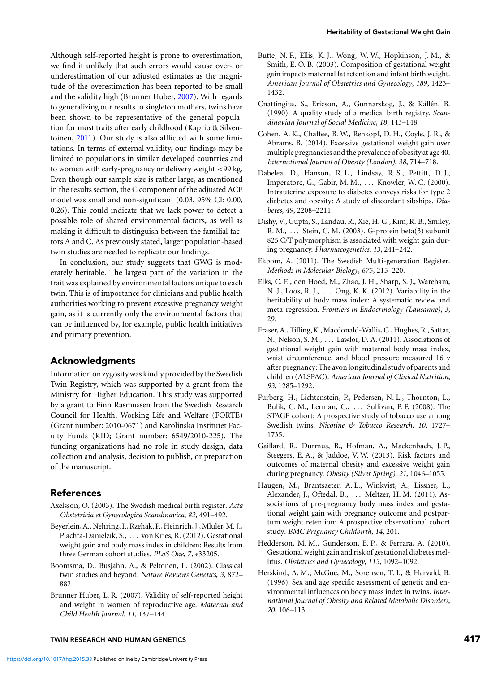<span id="page-7-0"></span>Although self-reported height is prone to overestimation, we find it unlikely that such errors would cause over- or underestimation of our adjusted estimates as the magnitude of the overestimation has been reported to be small and the validity high (Brunner Huber, 2007). With regards to generalizing our results to singleton mothers, twins have been shown to be representative of the general population for most traits after early childhood (Kaprio & Silventoinen, [2011\)](#page-8-0). Our study is also afflicted with some limitations. In terms of external validity, our findings may be limited to populations in similar developed countries and to women with early-pregnancy or delivery weight *<*99 kg. Even though our sample size is rather large, as mentioned in the results section, the C component of the adjusted ACE model was small and non-significant (0.03, 95% CI: 0.00, 0.26). This could indicate that we lack power to detect a possible role of shared environmental factors, as well as making it difficult to distinguish between the familial factors A and C. As previously stated, larger population-based twin studies are needed to replicate our findings.

In conclusion, our study suggests that GWG is moderately heritable. The largest part of the variation in the trait was explained by environmental factors unique to each twin. This is of importance for clinicians and public health authorities working to prevent excessive pregnancy weight gain, as it is currently only the environmental factors that can be influenced by, for example, public health initiatives and primary prevention.

# Acknowledgments

Information on zygosity was kindly provided by the Swedish Twin Registry, which was supported by a grant from the Ministry for Higher Education. This study was supported by a grant to Finn Rasmussen from the Swedish Research Council for Health, Working Life and Welfare (FORTE) (Grant number: 2010-0671) and Karolinska Institutet Faculty Funds (KID; Grant number: 6549/2010-225). The funding organizations had no role in study design, data collection and analysis, decision to publish, or preparation of the manuscript.

# References

- Axelsson, O. (2003). The Swedish medical birth register. *Acta Obstetricia et Gynecologica Scandinavica*, *82*, 491–492.
- Beyerlein, A., Nehring, I., Rzehak, P., Heinrich, J., Mluler, M. J., Plachta-Danielzik, S., . . . von Kries, R. (2012). Gestational weight gain and body mass index in children: Results from three German cohort studies. *PLoS One*, *7*, e33205.
- Boomsma, D., Busjahn, A., & Peltonen, L. (2002). Classical twin studies and beyond. *Nature Reviews Genetics*, *3*, 872– 882.
- Brunner Huber, L. R. (2007). Validity of self-reported height and weight in women of reproductive age. *Maternal and Child Health Journal*, *11*, 137–144.
- Butte, N. F., Ellis, K. J., Wong, W. W., Hopkinson, J. M., & Smith, E. O. B. (2003). Composition of gestational weight gain impacts maternal fat retention and infant birth weight. *American Journal of Obstetrics and Gynecology*, *189*, 1423– 1432.
- Cnattingius, S., Ericson, A., Gunnarskog, J., & Källén, B. (1990). A quality study of a medical birth registry. *Scandinavian Journal of Social Medicine*, *18*, 143–148.
- Cohen, A. K., Chaffee, B. W., Rehkopf, D. H., Coyle, J. R., & Abrams, B. (2014). Excessive gestational weight gain over multiple pregnancies and the prevalence of obesity at age 40. *International Journal of Obesity (London)*, *38*, 714–718.
- Dabelea, D., Hanson, R. L., Lindsay, R. S., Pettitt, D. J., Imperatore, G., Gabir, M. M., . . . Knowler, W. C. (2000). Intrauterine exposure to diabetes conveys risks for type 2 diabetes and obesity: A study of discordant sibships. *Diabetes*, *49*, 2208–2211.
- Dishy, V., Gupta, S., Landau, R., Xie, H. G., Kim, R. B., Smiley, R. M., . . . Stein, C. M. (2003). G-protein beta(3) subunit 825 C/T polymorphism is associated with weight gain during pregnancy. *Pharmacogenetics*, *13*, 241–242.
- Ekbom, A. (2011). The Swedish Multi-generation Register. *Methods in Molecular Biology*, *675*, 215–220.
- Elks, C. E., den Hoed, M., Zhao, J. H., Sharp, S. J., Wareham, N. J., Loos, R. J., . . . Ong, K. K. (2012). Variability in the heritability of body mass index: A systematic review and meta-regression. *Frontiers in Endocrinology (Lausanne)*, *3*, 29.
- Fraser, A., Tilling, K., Macdonald-Wallis, C., Hughes, R., Sattar, N., Nelson, S. M., ... Lawlor, D. A. (2011). Associations of gestational weight gain with maternal body mass index, waist circumference, and blood pressure measured 16 y after pregnancy: The avon longitudinal study of parents and children (ALSPAC). *American Journal of Clinical Nutrition*, *93*, 1285–1292.
- Furberg, H., Lichtenstein, P., Pedersen, N. L., Thornton, L., Bulik, C. M., Lerman, C., . . . Sullivan, P. F. (2008). The STAGE cohort: A prospective study of tobacco use among Swedish twins. *Nicotine & Tobacco Research*, *10*, 1727– 1735.
- Gaillard, R., Durmus, B., Hofman, A., Mackenbach, J. P., Steegers, E. A., & Jaddoe, V. W. (2013). Risk factors and outcomes of maternal obesity and excessive weight gain during pregnancy. *Obesity (Silver Spring)*, *21*, 1046–1055.
- Haugen, M., Brantsaeter, A. L., Winkvist, A., Lissner, L., Alexander, J., Oftedal, B., ... Meltzer, H. M. (2014). Associations of pre-pregnancy body mass index and gestational weight gain with pregnancy outcome and postpartum weight retention: A prospective observational cohort study. *BMC Pregnancy Childbirth*, *14*, 201.
- Hedderson, M. M., Gunderson, E. P., & Ferrara, A. (2010). Gestational weight gain and risk of gestational diabetes mellitus. *Obstetrics and Gynecology*, *115*, 1092–1092.
- Herskind, A. M., McGue, M., Sorensen, T. I., & Harvald, B. (1996). Sex and age specific assessment of genetic and environmental influences on body mass index in twins. *International Journal of Obesity and Related Metabolic Disorders*, *20*, 106–113.